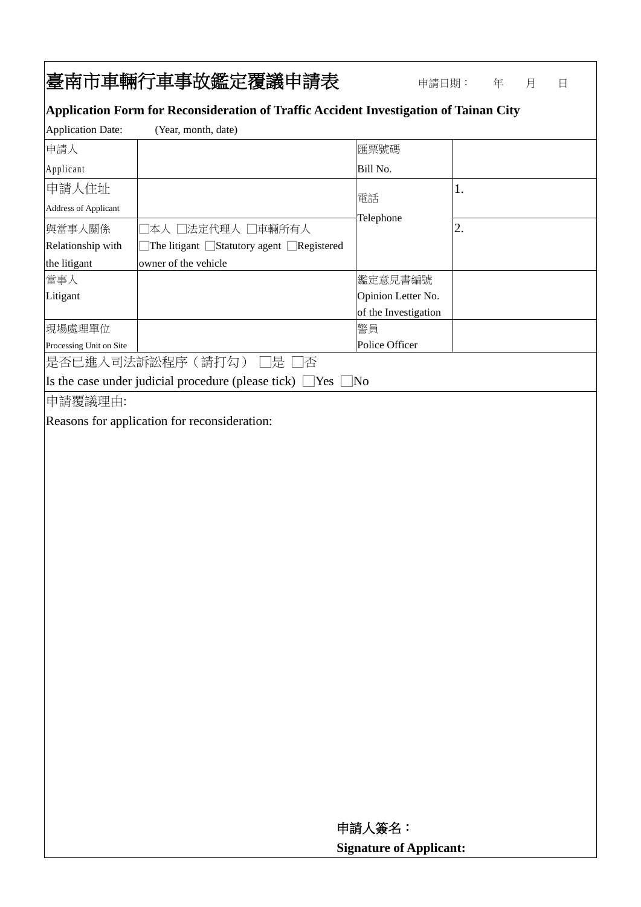## 臺南市車輛行車事故鑑定覆議申請表申請日期: <sup>年</sup> <sup>月</sup> <sup>日</sup>

## **Application Form for Reconsideration of Traffic Accident Investigation of Tainan City**

| <b>Application Date:</b>                                            | (Year, month, date)                                   |                      |    |
|---------------------------------------------------------------------|-------------------------------------------------------|----------------------|----|
| 申請人                                                                 |                                                       | 匯票號碼                 |    |
| Applicant                                                           |                                                       | Bill No.             |    |
| 申請人住址                                                               |                                                       | 電話                   | 1. |
| <b>Address of Applicant</b>                                         |                                                       |                      |    |
| 與當事人關係                                                              | 本人 □法定代理人 □車輛所有人                                      | Telephone            | 2. |
| Relationship with                                                   | The litigant $\Box$ Statutory agent $\Box$ Registered |                      |    |
| the litigant                                                        | owner of the vehicle                                  |                      |    |
| 當事人                                                                 |                                                       | 鑑定意見書編號              |    |
| Litigant                                                            |                                                       | Opinion Letter No.   |    |
|                                                                     |                                                       | of the Investigation |    |
| 現場處理單位                                                              |                                                       | 警員                   |    |
| Processing Unit on Site                                             |                                                       | Police Officer       |    |
| 是否已進入司法訴訟程序(請打勾)<br> 是 <br> 否                                       |                                                       |                      |    |
| Is the case under judicial procedure (please tick) $\Box$ Yes<br>No |                                                       |                      |    |
| 申請覆議理由:                                                             |                                                       |                      |    |
| Reasons for application for reconsideration:                        |                                                       |                      |    |

 申請人簽名:  **Signature of Applicant:**